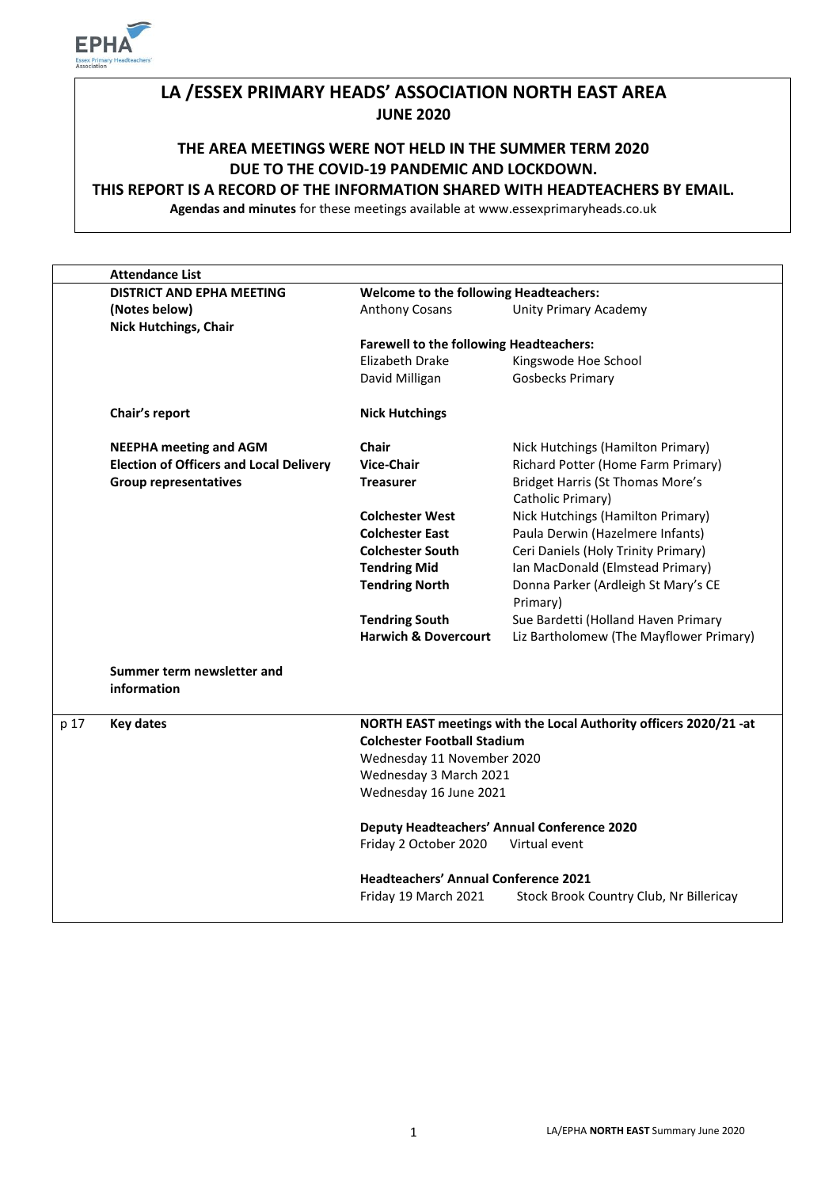

# **LA /ESSEX PRIMARY HEADS' ASSOCIATION NORTH EAST AREA JUNE 2020**

**THE AREA MEETINGS WERE NOT HELD IN THE SUMMER TERM 2020 DUE TO THE COVID-19 PANDEMIC AND LOCKDOWN.** 

#### **THIS REPORT IS A RECORD OF THE INFORMATION SHARED WITH HEADTEACHERS BY EMAIL.**

**Agendas and minutes** for these meetings available at www.essexprimaryheads.co.uk

|      | <b>Attendance List</b>                                                            |                                                                   |                                                              |  |
|------|-----------------------------------------------------------------------------------|-------------------------------------------------------------------|--------------------------------------------------------------|--|
|      | <b>DISTRICT AND EPHA MEETING</b><br><b>Welcome to the following Headteachers:</b> |                                                                   |                                                              |  |
|      | (Notes below)                                                                     | <b>Anthony Cosans</b>                                             | <b>Unity Primary Academy</b>                                 |  |
|      | <b>Nick Hutchings, Chair</b>                                                      |                                                                   |                                                              |  |
|      |                                                                                   | <b>Farewell to the following Headteachers:</b>                    |                                                              |  |
|      |                                                                                   | Elizabeth Drake                                                   | Kingswode Hoe School                                         |  |
|      |                                                                                   | David Milligan                                                    | <b>Gosbecks Primary</b>                                      |  |
|      | Chair's report                                                                    | <b>Nick Hutchings</b>                                             |                                                              |  |
|      | <b>NEEPHA meeting and AGM</b>                                                     | Chair                                                             | Nick Hutchings (Hamilton Primary)                            |  |
|      | <b>Election of Officers and Local Delivery</b>                                    | <b>Vice-Chair</b>                                                 | Richard Potter (Home Farm Primary)                           |  |
|      | <b>Group representatives</b>                                                      | <b>Treasurer</b>                                                  | <b>Bridget Harris (St Thomas More's</b><br>Catholic Primary) |  |
|      |                                                                                   | <b>Colchester West</b>                                            | Nick Hutchings (Hamilton Primary)                            |  |
|      |                                                                                   | <b>Colchester East</b>                                            | Paula Derwin (Hazelmere Infants)                             |  |
|      |                                                                                   | <b>Colchester South</b>                                           | Ceri Daniels (Holy Trinity Primary)                          |  |
|      |                                                                                   | <b>Tendring Mid</b>                                               | Ian MacDonald (Elmstead Primary)                             |  |
|      |                                                                                   | <b>Tendring North</b>                                             | Donna Parker (Ardleigh St Mary's CE<br>Primary)              |  |
|      |                                                                                   | <b>Tendring South</b>                                             | Sue Bardetti (Holland Haven Primary                          |  |
|      |                                                                                   | <b>Harwich &amp; Dovercourt</b>                                   | Liz Bartholomew (The Mayflower Primary)                      |  |
|      | Summer term newsletter and<br>information                                         |                                                                   |                                                              |  |
| p 17 | <b>Key dates</b>                                                                  | NORTH EAST meetings with the Local Authority officers 2020/21 -at |                                                              |  |
|      |                                                                                   | <b>Colchester Football Stadium</b>                                |                                                              |  |
|      |                                                                                   | Wednesday 11 November 2020                                        |                                                              |  |
|      |                                                                                   | Wednesday 3 March 2021                                            |                                                              |  |
|      |                                                                                   | Wednesday 16 June 2021                                            |                                                              |  |
|      |                                                                                   | <b>Deputy Headteachers' Annual Conference 2020</b>                |                                                              |  |
|      |                                                                                   | Friday 2 October 2020                                             | Virtual event                                                |  |
|      |                                                                                   | <b>Headteachers' Annual Conference 2021</b>                       |                                                              |  |
|      |                                                                                   | Friday 19 March 2021                                              | Stock Brook Country Club, Nr Billericay                      |  |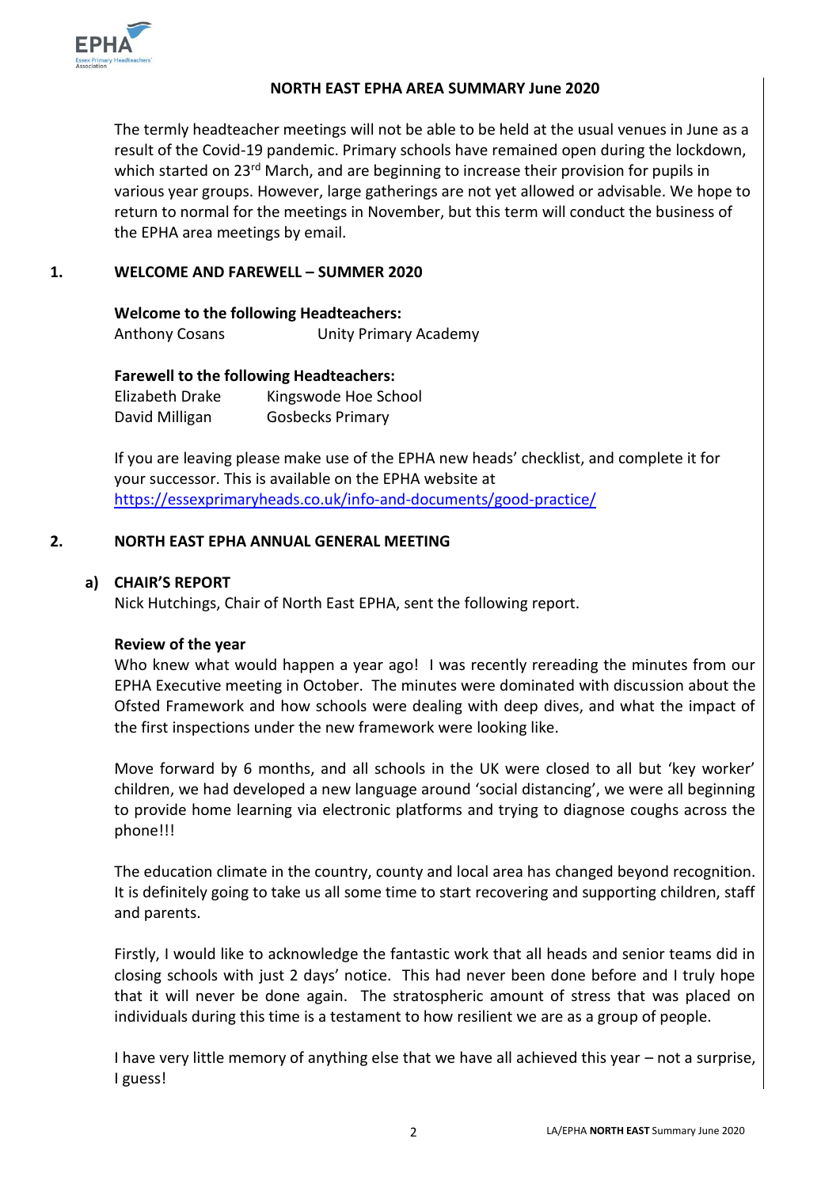

#### **NORTH EAST EPHA AREA SUMMARY June 2020**

The termly headteacher meetings will not be able to be held at the usual venues in June as a result of the Covid-19 pandemic. Primary schools have remained open during the lockdown, which started on 23<sup>rd</sup> March, and are beginning to increase their provision for pupils in various year groups. However, large gatherings are not yet allowed or advisable. We hope to return to normal for the meetings in November, but this term will conduct the business of the EPHA area meetings by email.

## **1. WELCOME AND FAREWELL – SUMMER 2020**

**Welcome to the following Headteachers:** Anthony Cosans Unity Primary Academy

**Farewell to the following Headteachers:**

Elizabeth Drake Kingswode Hoe School David Milligan Gosbecks Primary

If you are leaving please make use of the EPHA new heads' checklist, and complete it for your successor. This is available on the EPHA website at <https://essexprimaryheads.co.uk/info-and-documents/good-practice/>

#### **2. NORTH EAST EPHA ANNUAL GENERAL MEETING**

## **a) CHAIR'S REPORT**

Nick Hutchings, Chair of North East EPHA, sent the following report.

#### **Review of the year**

Who knew what would happen a year ago! I was recently rereading the minutes from our EPHA Executive meeting in October. The minutes were dominated with discussion about the Ofsted Framework and how schools were dealing with deep dives, and what the impact of the first inspections under the new framework were looking like.

Move forward by 6 months, and all schools in the UK were closed to all but 'key worker' children, we had developed a new language around 'social distancing', we were all beginning to provide home learning via electronic platforms and trying to diagnose coughs across the phone!!!

The education climate in the country, county and local area has changed beyond recognition. It is definitely going to take us all some time to start recovering and supporting children, staff and parents.

Firstly, I would like to acknowledge the fantastic work that all heads and senior teams did in closing schools with just 2 days' notice. This had never been done before and I truly hope that it will never be done again. The stratospheric amount of stress that was placed on individuals during this time is a testament to how resilient we are as a group of people.

I have very little memory of anything else that we have all achieved this year – not a surprise, I guess!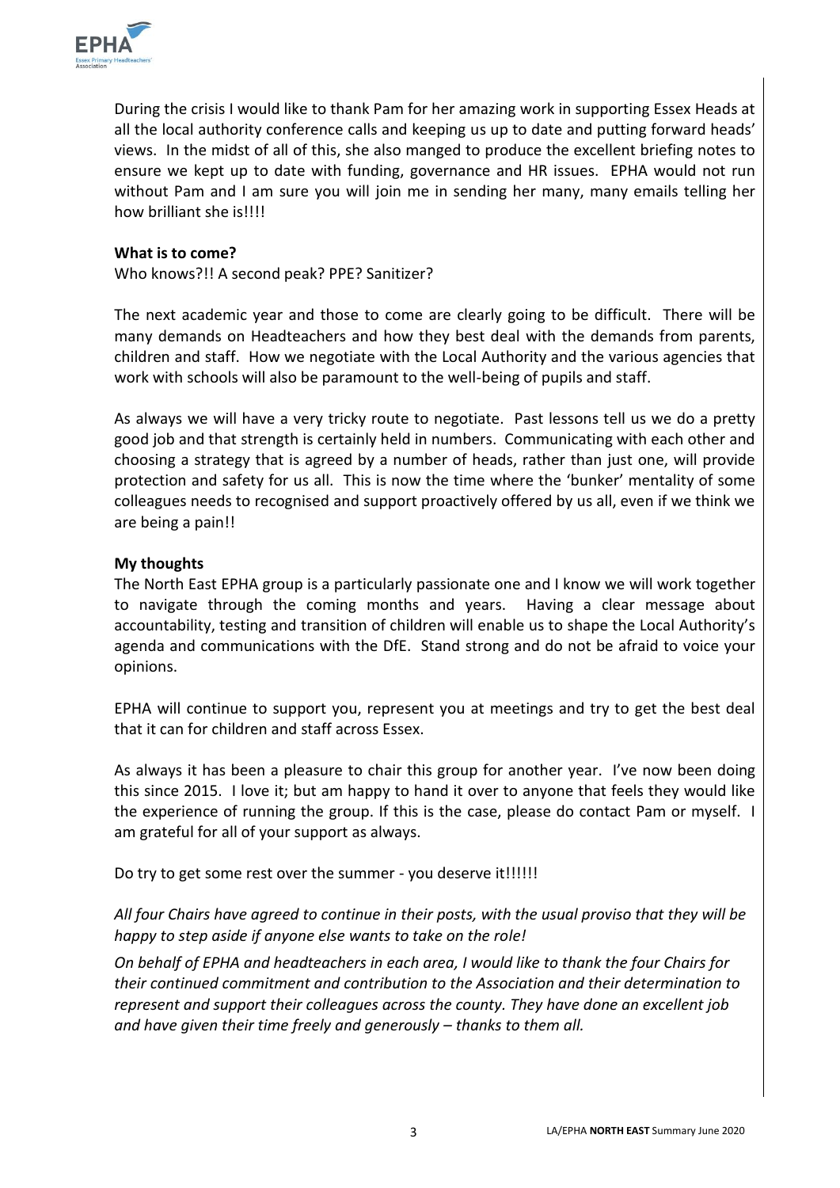

During the crisis I would like to thank Pam for her amazing work in supporting Essex Heads at all the local authority conference calls and keeping us up to date and putting forward heads' views. In the midst of all of this, she also manged to produce the excellent briefing notes to ensure we kept up to date with funding, governance and HR issues. EPHA would not run without Pam and I am sure you will join me in sending her many, many emails telling her how brilliant she is!!!!

#### **What is to come?**

Who knows?!! A second peak? PPE? Sanitizer?

The next academic year and those to come are clearly going to be difficult. There will be many demands on Headteachers and how they best deal with the demands from parents, children and staff. How we negotiate with the Local Authority and the various agencies that work with schools will also be paramount to the well-being of pupils and staff.

As always we will have a very tricky route to negotiate. Past lessons tell us we do a pretty good job and that strength is certainly held in numbers. Communicating with each other and choosing a strategy that is agreed by a number of heads, rather than just one, will provide protection and safety for us all. This is now the time where the 'bunker' mentality of some colleagues needs to recognised and support proactively offered by us all, even if we think we are being a pain!!

#### **My thoughts**

The North East EPHA group is a particularly passionate one and I know we will work together to navigate through the coming months and years. Having a clear message about accountability, testing and transition of children will enable us to shape the Local Authority's agenda and communications with the DfE. Stand strong and do not be afraid to voice your opinions.

EPHA will continue to support you, represent you at meetings and try to get the best deal that it can for children and staff across Essex.

As always it has been a pleasure to chair this group for another year. I've now been doing this since 2015. I love it; but am happy to hand it over to anyone that feels they would like the experience of running the group. If this is the case, please do contact Pam or myself. I am grateful for all of your support as always.

Do try to get some rest over the summer - you deserve it!!!!!!

*All four Chairs have agreed to continue in their posts, with the usual proviso that they will be happy to step aside if anyone else wants to take on the role!* 

*On behalf of EPHA and headteachers in each area, I would like to thank the four Chairs for their continued commitment and contribution to the Association and their determination to represent and support their colleagues across the county. They have done an excellent job*  and have given their time freely and generously – thanks to them all.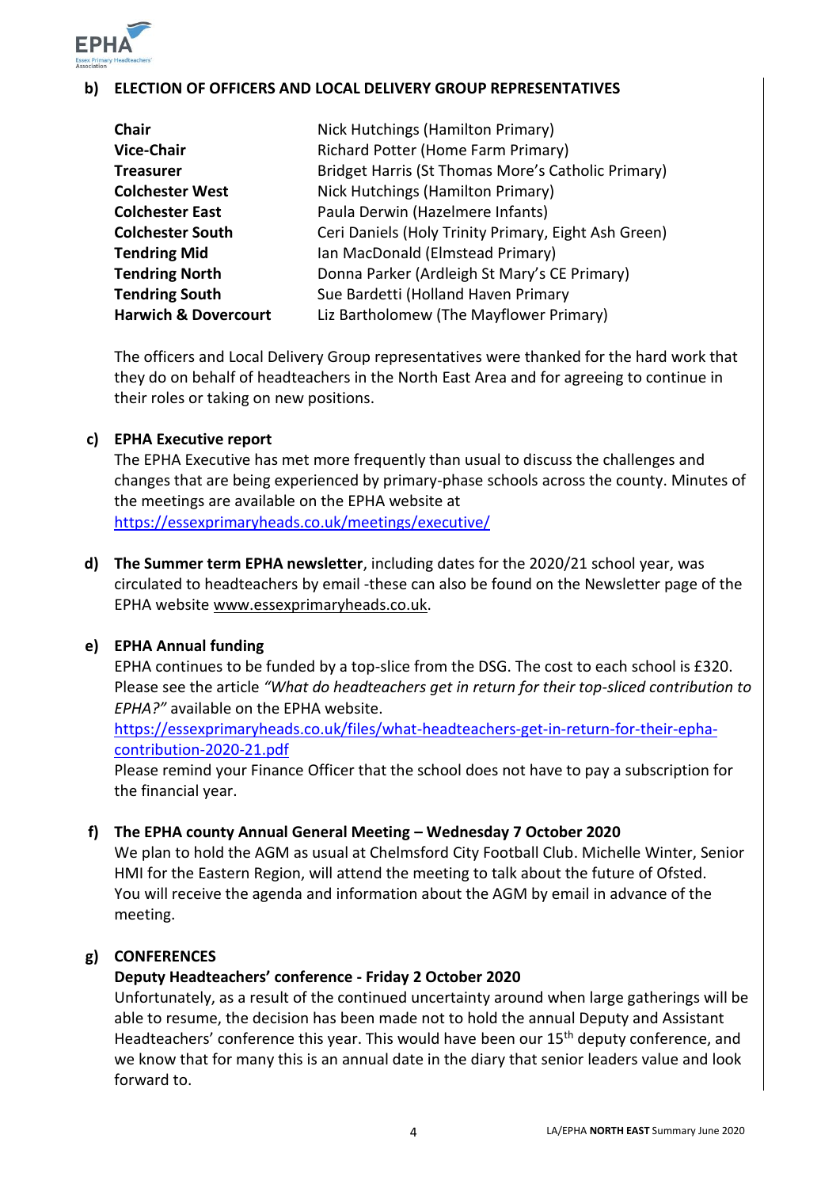

# **b) ELECTION OF OFFICERS AND LOCAL DELIVERY GROUP REPRESENTATIVES**

| <b>Chair</b>                    | Nick Hutchings (Hamilton Primary)                    |
|---------------------------------|------------------------------------------------------|
| <b>Vice-Chair</b>               | Richard Potter (Home Farm Primary)                   |
| <b>Treasurer</b>                | Bridget Harris (St Thomas More's Catholic Primary)   |
| <b>Colchester West</b>          | Nick Hutchings (Hamilton Primary)                    |
| <b>Colchester East</b>          | Paula Derwin (Hazelmere Infants)                     |
| <b>Colchester South</b>         | Ceri Daniels (Holy Trinity Primary, Eight Ash Green) |
| <b>Tendring Mid</b>             | Ian MacDonald (Elmstead Primary)                     |
| <b>Tendring North</b>           | Donna Parker (Ardleigh St Mary's CE Primary)         |
| <b>Tendring South</b>           | Sue Bardetti (Holland Haven Primary                  |
| <b>Harwich &amp; Dovercourt</b> | Liz Bartholomew (The Mayflower Primary)              |

The officers and Local Delivery Group representatives were thanked for the hard work that they do on behalf of headteachers in the North East Area and for agreeing to continue in their roles or taking on new positions.

#### **c) EPHA Executive report**

The EPHA Executive has met more frequently than usual to discuss the challenges and changes that are being experienced by primary-phase schools across the county. Minutes of the meetings are available on the EPHA website at <https://essexprimaryheads.co.uk/meetings/executive/>

**d) The Summer term EPHA newsletter**, including dates for the 2020/21 school year, was circulated to headteachers by email -these can also be found on the Newsletter page of the EPHA website [www.essexprimaryheads.co.uk.](http://www.essexprimaryheads.co.uk/)

#### **e) EPHA Annual funding**

EPHA continues to be funded by a top-slice from the DSG. The cost to each school is £320. Please see the article *"What do headteachers get in return for their top-sliced contribution to EPHA?"* available on the EPHA website.

[https://essexprimaryheads.co.uk/files/what-headteachers-get-in-return-for-their-epha](https://essexprimaryheads.co.uk/files/what-headteachers-get-in-return-for-their-epha-contribution-2020-21.pdf)[contribution-2020-21.pdf](https://essexprimaryheads.co.uk/files/what-headteachers-get-in-return-for-their-epha-contribution-2020-21.pdf)

Please remind your Finance Officer that the school does not have to pay a subscription for the financial year.

#### **f) The EPHA county Annual General Meeting – Wednesday 7 October 2020**

We plan to hold the AGM as usual at Chelmsford City Football Club. Michelle Winter, Senior HMI for the Eastern Region, will attend the meeting to talk about the future of Ofsted. You will receive the agenda and information about the AGM by email in advance of the meeting.

#### **g) CONFERENCES**

## **Deputy Headteachers' conference - Friday 2 October 2020**

Unfortunately, as a result of the continued uncertainty around when large gatherings will be able to resume, the decision has been made not to hold the annual Deputy and Assistant Headteachers' conference this year. This would have been our 15<sup>th</sup> deputy conference, and we know that for many this is an annual date in the diary that senior leaders value and look forward to.